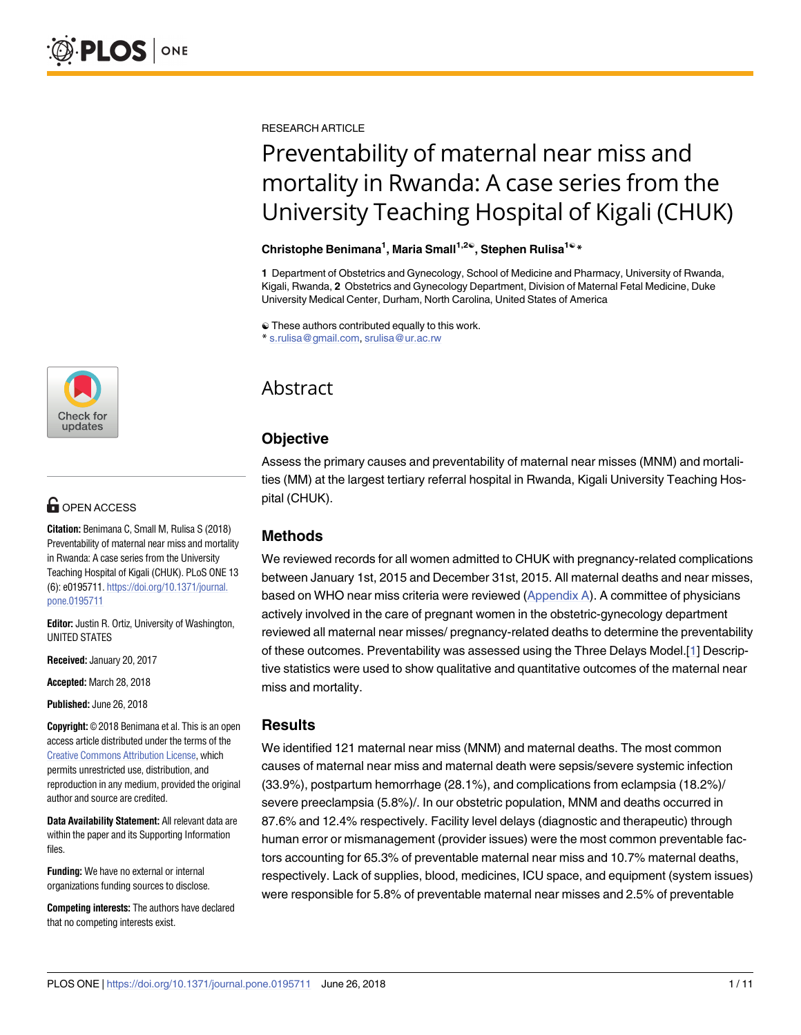<u>[a1111111111](http://crossmark.crossref.org/dialog/?doi=10.1371/journal.pone.0195711&domain=pdf&date_stamp=2018-06-26)11111111111111111111</u> **a**111 [a1111111111](http://crossmark.crossref.org/dialog/?doi=10.1371/journal.pone.0195711&domain=pdf&date_stamp=2018-06-26) Check for updates

## **OPEN ACCESS**

**Citation:** Benimana C, Small M, Rulisa S (2018) Preventability of maternal near miss and mortality in Rwanda: A case series from the University Teaching Hospital of Kigali (CHUK). PLoS ONE 13 (6): e0195711. [https://doi.org/10.1371/journal.](https://doi.org/10.1371/journal.pone.0195711) [pone.0195711](https://doi.org/10.1371/journal.pone.0195711)

**Editor:** Justin R. Ortiz, University of Washington, UNITED STATES

**Received:** January 20, 2017

**Accepted:** March 28, 2018

**Published:** June 26, 2018

**Copyright:** © 2018 Benimana et al. This is an open access article distributed under the terms of the Creative Commons [Attribution](http://creativecommons.org/licenses/by/4.0/) License, which permits unrestricted use, distribution, and reproduction in any medium, provided the original author and source are credited.

**Data Availability Statement:** All relevant data are within the paper and its Supporting Information files.

**Funding:** We have no external or internal organizations funding sources to disclose.

**Competing interests:** The authors have declared that no competing interests exist.

<span id="page-0-0"></span>RESEARCH ARTICLE

# Preventability of maternal near miss and mortality in Rwanda: A case series from the University Teaching Hospital of Kigali (CHUK)

#### **Christophe Benimana1 , Maria Small1,2**☯**, Stephen Rulisa1**☯**\***

**1** Department of Obstetrics and Gynecology, School of Medicine and Pharmacy, University of Rwanda, Kigali, Rwanda, **2** Obstetrics and Gynecology Department, Division of Maternal Fetal Medicine, Duke University Medical Center, Durham, North Carolina, United States of America

☯ These authors contributed equally to this work.

\* s.rulisa@gmail.com, srulisa@ur.ac.rw

# Abstract

### **Objective**

Assess the primary causes and preventability of maternal near misses (MNM) and mortalities (MM) at the largest tertiary referral hospital in Rwanda, Kigali University Teaching Hospital (CHUK).

### **Methods**

We reviewed records for all women admitted to CHUK with pregnancy-related complications between January 1st, 2015 and December 31st, 2015. All maternal deaths and near misses, based on WHO near miss criteria were reviewed [\(Appendix](#page-7-0) A). A committee of physicians actively involved in the care of pregnant women in the obstetric-gynecology department reviewed all maternal near misses/ pregnancy-related deaths to determine the preventability of these outcomes. Preventability was assessed using the Three Delays Model.[[1\]](#page-8-0) Descriptive statistics were used to show qualitative and quantitative outcomes of the maternal near miss and mortality.

### **Results**

We identified 121 maternal near miss (MNM) and maternal deaths. The most common causes of maternal near miss and maternal death were sepsis/severe systemic infection (33.9%), postpartum hemorrhage (28.1%), and complications from eclampsia (18.2%)/ severe preeclampsia (5.8%)/. In our obstetric population, MNM and deaths occurred in 87.6% and 12.4% respectively. Facility level delays (diagnostic and therapeutic) through human error or mismanagement (provider issues) were the most common preventable factors accounting for 65.3% of preventable maternal near miss and 10.7% maternal deaths, respectively. Lack of supplies, blood, medicines, ICU space, and equipment (system issues) were responsible for 5.8% of preventable maternal near misses and 2.5% of preventable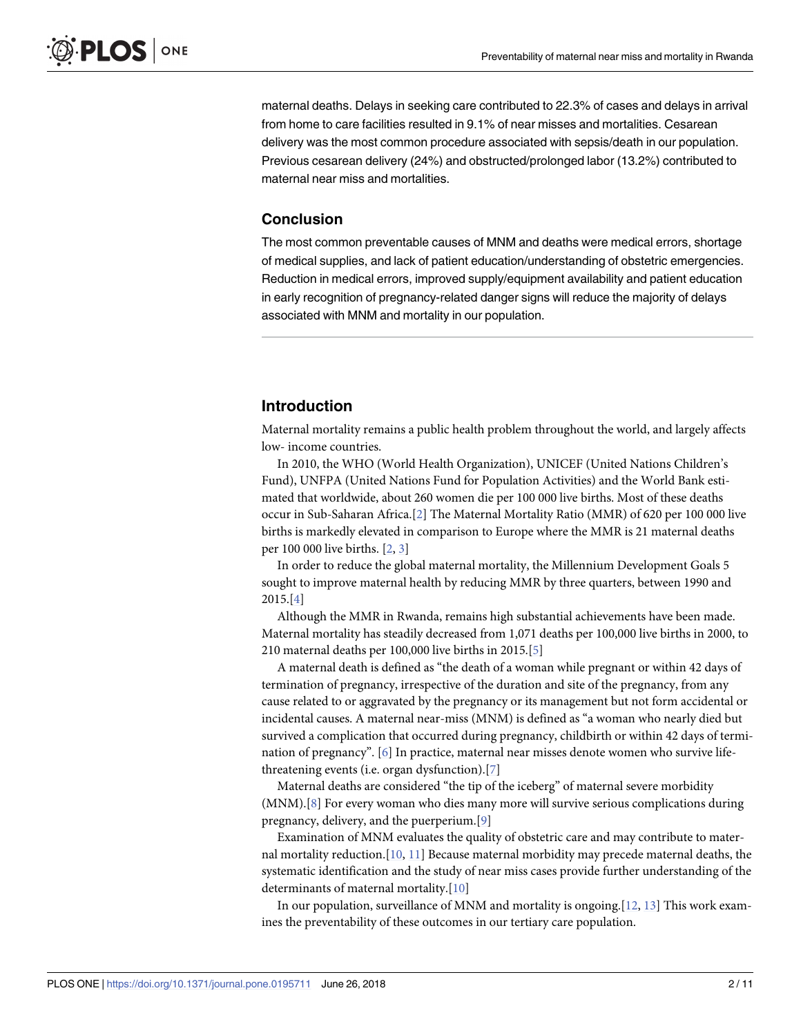<span id="page-1-0"></span>maternal deaths. Delays in seeking care contributed to 22.3% of cases and delays in arrival from home to care facilities resulted in 9.1% of near misses and mortalities. Cesarean delivery was the most common procedure associated with sepsis/death in our population. Previous cesarean delivery (24%) and obstructed/prolonged labor (13.2%) contributed to maternal near miss and mortalities.

### **Conclusion**

The most common preventable causes of MNM and deaths were medical errors, shortage of medical supplies, and lack of patient education/understanding of obstetric emergencies. Reduction in medical errors, improved supply/equipment availability and patient education in early recognition of pregnancy-related danger signs will reduce the majority of delays associated with MNM and mortality in our population.

### **Introduction**

Maternal mortality remains a public health problem throughout the world, and largely affects low- income countries.

In 2010, the WHO (World Health Organization), UNICEF (United Nations Children's Fund), UNFPA (United Nations Fund for Population Activities) and the World Bank estimated that worldwide, about 260 women die per 100 000 live births. Most of these deaths occur in Sub-Saharan Africa.[[2](#page-8-0)] The Maternal Mortality Ratio (MMR) of 620 per 100 000 live births is markedly elevated in comparison to Europe where the MMR is 21 maternal deaths per 100 000 live births. [[2](#page-8-0), [3\]](#page-8-0)

In order to reduce the global maternal mortality, the Millennium Development Goals 5 sought to improve maternal health by reducing MMR by three quarters, between 1990 and 2015.[[4](#page-8-0)]

Although the MMR in Rwanda, remains high substantial achievements have been made. Maternal mortality has steadily decreased from 1,071 deaths per 100,000 live births in 2000, to 210 maternal deaths per 100,000 live births in 2015.[\[5](#page-9-0)]

A maternal death is defined as "the death of a woman while pregnant or within 42 days of termination of pregnancy, irrespective of the duration and site of the pregnancy, from any cause related to or aggravated by the pregnancy or its management but not form accidental or incidental causes. A maternal near-miss (MNM) is defined as "a woman who nearly died but survived a complication that occurred during pregnancy, childbirth or within 42 days of termination of pregnancy". [\[6\]](#page-9-0) In practice, maternal near misses denote women who survive lifethreatening events (i.e. organ dysfunction).[[7](#page-9-0)]

Maternal deaths are considered "the tip of the iceberg" of maternal severe morbidity (MNM).[[8](#page-9-0)] For every woman who dies many more will survive serious complications during pregnancy, delivery, and the puerperium.[[9\]](#page-9-0)

Examination of MNM evaluates the quality of obstetric care and may contribute to maternal mortality reduction.[\[10,](#page-9-0) [11\]](#page-9-0) Because maternal morbidity may precede maternal deaths, the systematic identification and the study of near miss cases provide further understanding of the determinants of maternal mortality.[\[10\]](#page-9-0)

In our population, surveillance of MNM and mortality is ongoing.[\[12,](#page-9-0) [13\]](#page-9-0) This work examines the preventability of these outcomes in our tertiary care population.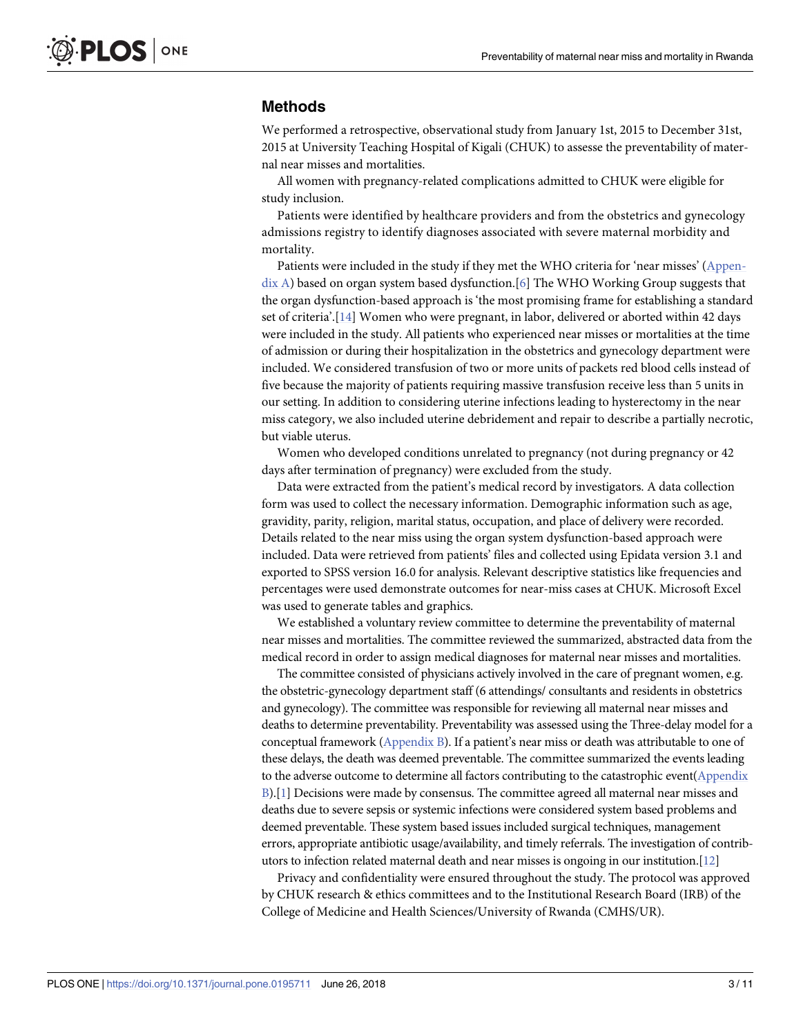### <span id="page-2-0"></span>**Methods**

We performed a retrospective, observational study from January 1st, 2015 to December 31st, 2015 at University Teaching Hospital of Kigali (CHUK) to assesse the preventability of maternal near misses and mortalities.

All women with pregnancy-related complications admitted to CHUK were eligible for study inclusion.

Patients were identified by healthcare providers and from the obstetrics and gynecology admissions registry to identify diagnoses associated with severe maternal morbidity and mortality.

Patients were included in the study if they met the WHO criteria for 'near misses' [\(Appen](#page-7-0)[dix](#page-7-0) A) based on organ system based dysfunction.[\[6](#page-9-0)] The WHO Working Group suggests that the organ dysfunction-based approach is 'the most promising frame for establishing a standard set of criteria'.[[14\]](#page-9-0) Women who were pregnant, in labor, delivered or aborted within 42 days were included in the study. All patients who experienced near misses or mortalities at the time of admission or during their hospitalization in the obstetrics and gynecology department were included. We considered transfusion of two or more units of packets red blood cells instead of five because the majority of patients requiring massive transfusion receive less than 5 units in our setting. In addition to considering uterine infections leading to hysterectomy in the near miss category, we also included uterine debridement and repair to describe a partially necrotic, but viable uterus.

Women who developed conditions unrelated to pregnancy (not during pregnancy or 42 days after termination of pregnancy) were excluded from the study.

Data were extracted from the patient's medical record by investigators. A data collection form was used to collect the necessary information. Demographic information such as age, gravidity, parity, religion, marital status, occupation, and place of delivery were recorded. Details related to the near miss using the organ system dysfunction-based approach were included. Data were retrieved from patients' files and collected using Epidata version 3.1 and exported to SPSS version 16.0 for analysis. Relevant descriptive statistics like frequencies and percentages were used demonstrate outcomes for near-miss cases at CHUK. Microsoft Excel was used to generate tables and graphics.

We established a voluntary review committee to determine the preventability of maternal near misses and mortalities. The committee reviewed the summarized, abstracted data from the medical record in order to assign medical diagnoses for maternal near misses and mortalities.

The committee consisted of physicians actively involved in the care of pregnant women, e.g. the obstetric-gynecology department staff (6 attendings/ consultants and residents in obstetrics and gynecology). The committee was responsible for reviewing all maternal near misses and deaths to determine preventability. Preventability was assessed using the Three-delay model for a conceptual framework [\(Appendix](#page-7-0) B). If a patient's near miss or death was attributable to one of these delays, the death was deemed preventable. The committee summarized the events leading to the adverse outcome to determine all factors contributing to the catastrophic event[\(Appendix](#page-7-0) [B\)](#page-7-0).[\[1](#page-8-0)] Decisions were made by consensus. The committee agreed all maternal near misses and deaths due to severe sepsis or systemic infections were considered system based problems and deemed preventable. These system based issues included surgical techniques, management errors, appropriate antibiotic usage/availability, and timely referrals. The investigation of contributors to infection related maternal death and near misses is ongoing in our institution.[[12\]](#page-9-0)

Privacy and confidentiality were ensured throughout the study. The protocol was approved by CHUK research & ethics committees and to the Institutional Research Board (IRB) of the College of Medicine and Health Sciences/University of Rwanda (CMHS/UR).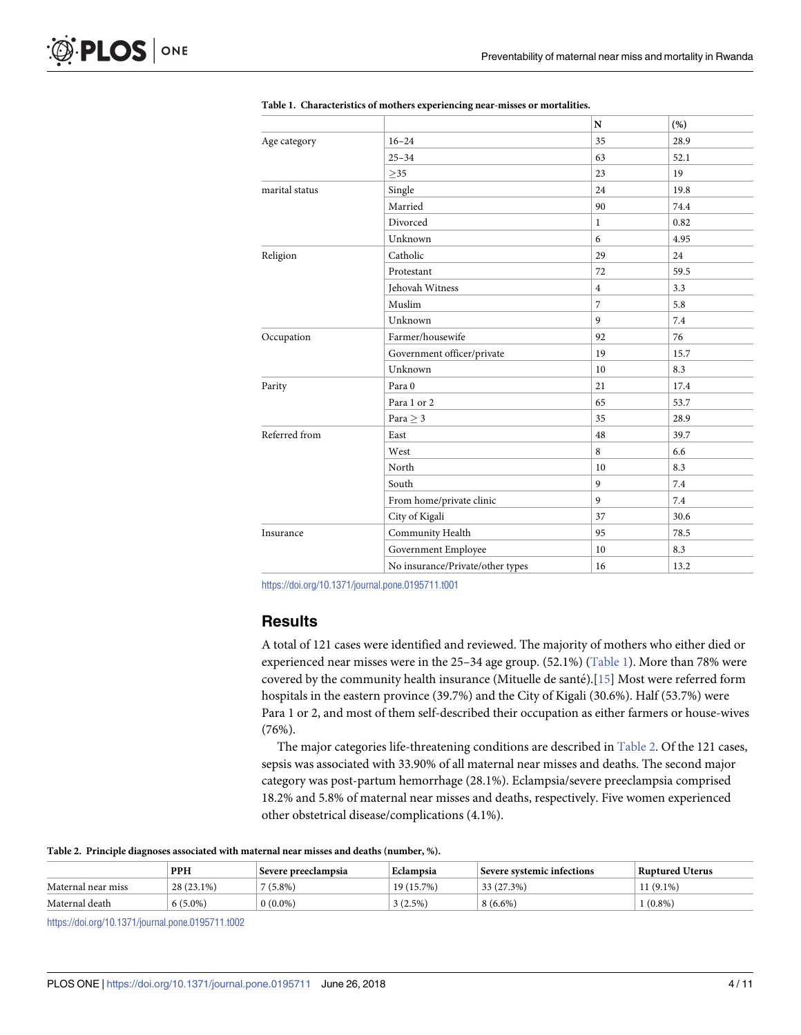|                |                                  | N              | (%)  |
|----------------|----------------------------------|----------------|------|
| Age category   | $16 - 24$                        | 35             | 28.9 |
|                | $25 - 34$                        | 63             | 52.1 |
|                | $>35$                            | 23             | 19   |
| marital status | Single                           | 24             | 19.8 |
|                | Married                          | 90             | 74.4 |
|                | Divorced                         | $\mathbf{1}$   | 0.82 |
|                | Unknown                          | 6              | 4.95 |
| Religion       | Catholic                         | 29             | 24   |
|                | Protestant                       | 72             | 59.5 |
|                | Jehovah Witness                  | $\overline{4}$ | 3.3  |
|                | Muslim                           | $\overline{7}$ | 5.8  |
|                | Unknown                          | 9              | 7.4  |
| Occupation     | Farmer/housewife                 | 92             | 76   |
|                | Government officer/private       | 19             | 15.7 |
|                | Unknown                          | 10             | 8.3  |
| Parity         | Para 0                           | 21             | 17.4 |
|                | Para 1 or 2                      | 65             | 53.7 |
|                | Para $\geq$ 3                    | 35             | 28.9 |
| Referred from  | East                             | 48             | 39.7 |
|                | West                             | 8              | 6.6  |
|                | North                            | 10             | 8.3  |
|                | South                            | 9              | 7.4  |
|                | From home/private clinic         | 9              | 7.4  |
|                | City of Kigali                   | 37             | 30.6 |
| Insurance      | Community Health                 | 95             | 78.5 |
|                | Government Employee              | 10             | 8.3  |
|                | No insurance/Private/other types | 16             | 13.2 |

<span id="page-3-0"></span>

| Table 1. Characteristics of mothers experiencing near-misses or mortalities. |  |  |
|------------------------------------------------------------------------------|--|--|
|                                                                              |  |  |

<https://doi.org/10.1371/journal.pone.0195711.t001>

### **Results**

A total of 121 cases were identified and reviewed. The majority of mothers who either died or experienced near misses were in the 25–34 age group. (52.1%) (Table 1). More than 78% were covered by the community health insurance (Mituelle de santé).[\[15\]](#page-9-0) Most were referred form hospitals in the eastern province (39.7%) and the City of Kigali (30.6%). Half (53.7%) were Para 1 or 2, and most of them self-described their occupation as either farmers or house-wives (76%).

The major categories life-threatening conditions are described in Table 2. Of the 121 cases, sepsis was associated with 33.90% of all maternal near misses and deaths. The second major category was post-partum hemorrhage (28.1%). Eclampsia/severe preeclampsia comprised 18.2% and 5.8% of maternal near misses and deaths, respectively. Five women experienced other obstetrical disease/complications (4.1%).

#### **Table 2. Principle diagnoses associated with maternal near misses and deaths (number, %).**

|                    | <b>PPH</b> | <b>Severe preeclampsia</b> | <b>Eclampsia</b> | Severe systemic infections | Ruptured Uterus! |
|--------------------|------------|----------------------------|------------------|----------------------------|------------------|
| Maternal near miss | 28 (23.1%) | $7(5.8\%)$                 | 19 (15.7%)       | 33 (27.3%)                 | $11(9.1\%)$      |
| Maternal death     | $6(5.0\%)$ | $0(0.0\%)$                 | 3(2.5%)          | $8(6.6\%)$                 | $1(0.8\%)$       |

<https://doi.org/10.1371/journal.pone.0195711.t002>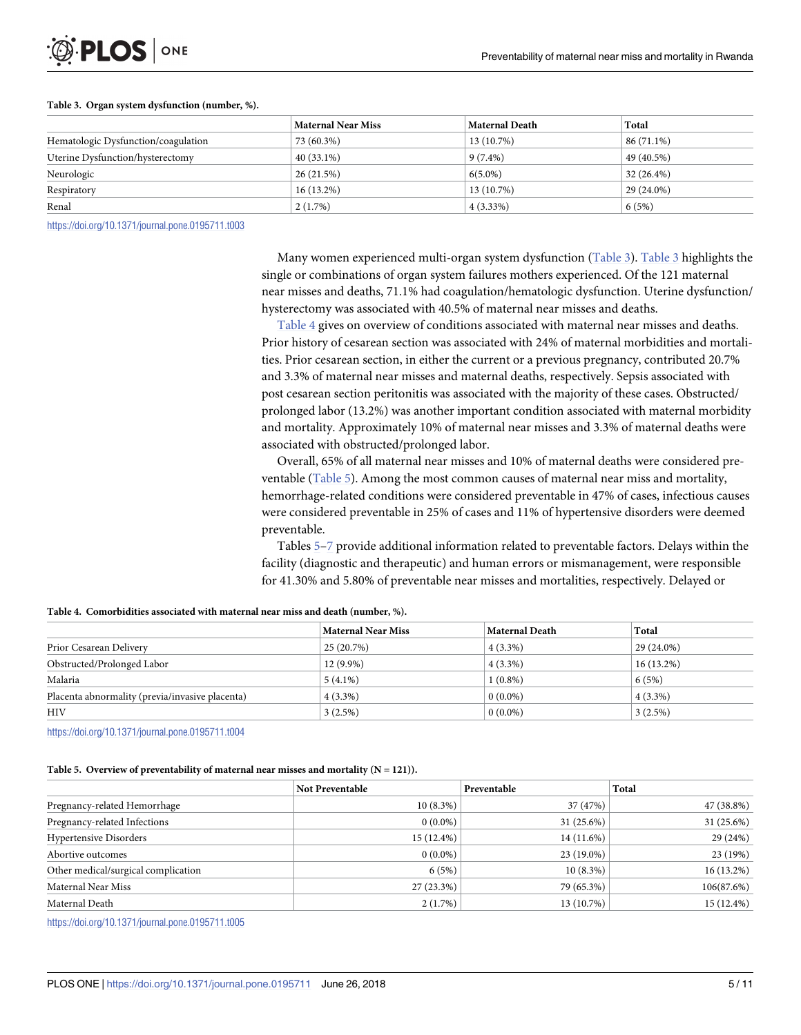<span id="page-4-0"></span>

#### **Table 3. Organ system dysfunction (number, %).**

|                                     | Maternal Near Miss | <b>Maternal Death</b> | Total        |
|-------------------------------------|--------------------|-----------------------|--------------|
| Hematologic Dysfunction/coagulation | 73 (60.3%)         | 13 (10.7%)            | 86 (71.1%)   |
| Uterine Dysfunction/hysterectomy    | $40(33.1\%)$       | $9(7.4\%)$            | 49 (40.5%)   |
| Neurologic                          | 26(21.5%)          | $6(5.0\%)$            | $32(26.4\%)$ |
| Respiratory                         | $16(13.2\%)$       | 13 (10.7%)            | 29 (24.0%)   |
| Renal                               | 2(1.7%)            | $4(3.33\%)$           | 6(5%)        |

<https://doi.org/10.1371/journal.pone.0195711.t003>

Many women experienced multi-organ system dysfunction (Table 3). Table 3 highlights the single or combinations of organ system failures mothers experienced. Of the 121 maternal near misses and deaths, 71.1% had coagulation/hematologic dysfunction. Uterine dysfunction/ hysterectomy was associated with 40.5% of maternal near misses and deaths.

Table 4 gives on overview of conditions associated with maternal near misses and deaths. Prior history of cesarean section was associated with 24% of maternal morbidities and mortalities. Prior cesarean section, in either the current or a previous pregnancy, contributed 20.7% and 3.3% of maternal near misses and maternal deaths, respectively. Sepsis associated with post cesarean section peritonitis was associated with the majority of these cases. Obstructed/ prolonged labor (13.2%) was another important condition associated with maternal morbidity and mortality. Approximately 10% of maternal near misses and 3.3% of maternal deaths were associated with obstructed/prolonged labor.

Overall, 65% of all maternal near misses and 10% of maternal deaths were considered preventable (Table 5). Among the most common causes of maternal near miss and mortality, hemorrhage-related conditions were considered preventable in 47% of cases, infectious causes were considered preventable in 25% of cases and 11% of hypertensive disorders were deemed preventable.

Tables 5–[7](#page-5-0) provide additional information related to preventable factors. Delays within the facility (diagnostic and therapeutic) and human errors or mismanagement, were responsible for 41.30% and 5.80% of preventable near misses and mortalities, respectively. Delayed or

|                                                 | <b>Maternal Near Miss</b> | <b>Maternal Death</b> | Total        |
|-------------------------------------------------|---------------------------|-----------------------|--------------|
| Prior Cesarean Delivery                         | 25 (20.7%)                | $4(3.3\%)$            | 29 (24.0%)   |
| Obstructed/Prolonged Labor                      | 12 (9.9%)                 | $4(3.3\%)$            | $16(13.2\%)$ |
| Malaria                                         | $5(4.1\%)$                | $1(0.8\%)$            | 6(5%)        |
| Placenta abnormality (previa/invasive placenta) | $4(3.3\%)$                | $0(0.0\%)$            | $4(3.3\%)$   |
| <b>HIV</b>                                      | $3(2.5\%)$                | $0(0.0\%)$            | 3(2.5%)      |

**Table 4. Comorbidities associated with maternal near miss and death (number, %).**

<https://doi.org/10.1371/journal.pone.0195711.t004>

#### **Table 5. Overview of preventability of maternal near misses and mortality (N = 121)).**

|                                     | <b>Not Preventable</b> | Preventable  | Total      |
|-------------------------------------|------------------------|--------------|------------|
| Pregnancy-related Hemorrhage        | $10(8.3\%)$            | 37 (47%)     | 47 (38.8%) |
| Pregnancy-related Infections        | $0(0.0\%)$             | $31(25.6\%)$ | 31 (25.6%) |
| <b>Hypertensive Disorders</b>       | $15(12.4\%)$           | 14 (11.6%)   | 29 (24%)   |
| Abortive outcomes                   | $0(0.0\%)$             | 23 (19.0%)   | 23 (19%)   |
| Other medical/surgical complication | 6(5%)                  | $10(8.3\%)$  | 16 (13.2%) |
| Maternal Near Miss                  | $27(23.3\%)$           | 79 (65.3%)   | 106(87.6%) |
| Maternal Death                      | $2(1.7\%)$             | 13 (10.7%)   | 15 (12.4%) |

<https://doi.org/10.1371/journal.pone.0195711.t005>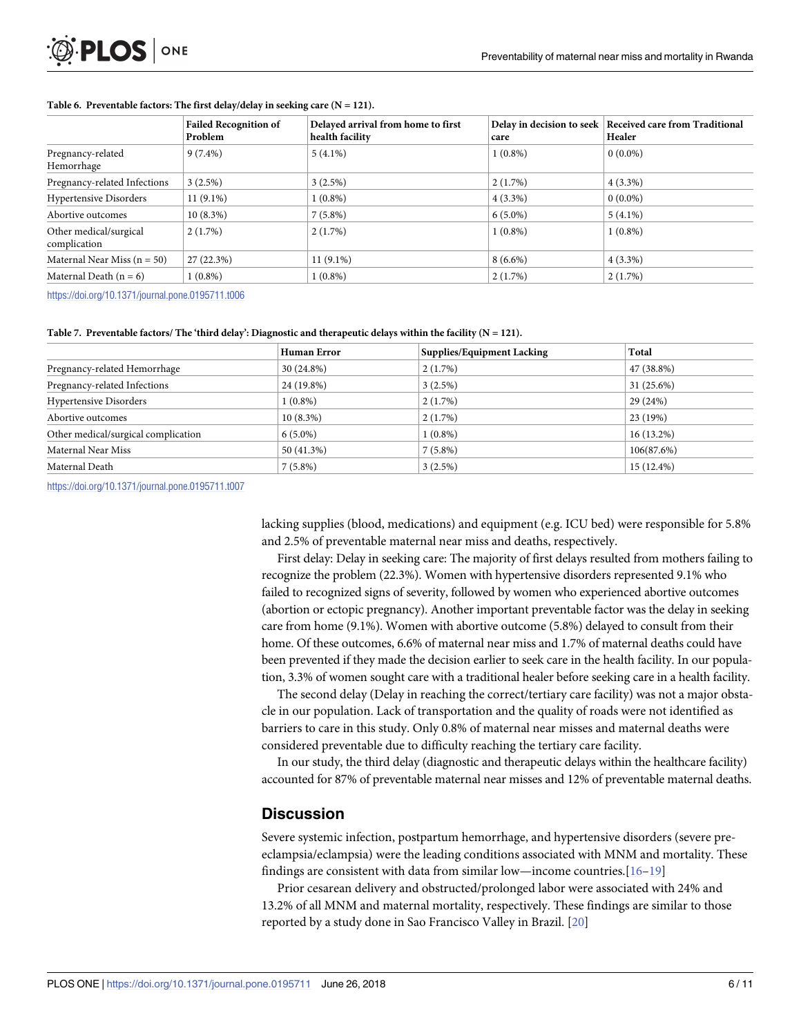<span id="page-5-0"></span>

|  | Table 6. Preventable factors: The first delay/delay in seeking care $(N = 121)$ . |  |  |  |  |  |
|--|-----------------------------------------------------------------------------------|--|--|--|--|--|
|--|-----------------------------------------------------------------------------------|--|--|--|--|--|

|                                        | <b>Failed Recognition of</b><br>Problem | Delayed arrival from home to first<br>health facility | care       | Delay in decision to seek   Received care from Traditional<br>Healer |
|----------------------------------------|-----------------------------------------|-------------------------------------------------------|------------|----------------------------------------------------------------------|
| Pregnancy-related<br>Hemorrhage        | $9(7.4\%)$                              | $5(4.1\%)$                                            | $1(0.8\%)$ | $0(0.0\%)$                                                           |
| Pregnancy-related Infections           | 3(2.5%)                                 | 3(2.5%)                                               | 2(1.7%)    | $4(3.3\%)$                                                           |
| Hypertensive Disorders                 | $11(9.1\%)$                             | $1(0.8\%)$                                            | $4(3.3\%)$ | $0(0.0\%)$                                                           |
| Abortive outcomes                      | 10(8.3%)                                | 7(5.8%)                                               | $6(5.0\%)$ | $5(4.1\%)$                                                           |
| Other medical/surgical<br>complication | 2(1.7%)                                 | 2(1.7%)                                               | $1(0.8\%)$ | $1(0.8\%)$                                                           |
| Maternal Near Miss ( $n = 50$ )        | 27 (22.3%)                              | $11(9.1\%)$                                           | $8(6.6\%)$ | $4(3.3\%)$                                                           |
| Maternal Death $(n = 6)$               | $1(0.8\%)$                              | $1(0.8\%)$                                            | 2(1.7%)    | 2(1.7%)                                                              |

<https://doi.org/10.1371/journal.pone.0195711.t006>

[Table](#page-4-0) 7. Preventable factors/ The 'third delay': Diagnostic and therapeutic delays within the facility ( $N = 121$ ).

|                                     | <b>Human Error</b> | <b>Supplies/Equipment Lacking</b> | Total        |
|-------------------------------------|--------------------|-----------------------------------|--------------|
| Pregnancy-related Hemorrhage        | 30 (24.8%)         | 2(1.7%)                           | 47 (38.8%)   |
| Pregnancy-related Infections        | 24 (19.8%)         | $3(2.5\%)$                        | $31(25.6\%)$ |
| <b>Hypertensive Disorders</b>       | $1(0.8\%)$         | 2(1.7%)                           | 29 (24%)     |
| Abortive outcomes                   | $10(8.3\%)$        | 2(1.7%)                           | 23 (19%)     |
| Other medical/surgical complication | $6(5.0\%)$         | $1(0.8\%)$                        | $16(13.2\%)$ |
| Maternal Near Miss                  | 50 (41.3%)         | $7(5.8\%)$                        | 106(87.6%)   |
| Maternal Death                      | $7(5.8\%)$         | $3(2.5\%)$                        | $15(12.4\%)$ |

<https://doi.org/10.1371/journal.pone.0195711.t007>

lacking supplies (blood, medications) and equipment (e.g. ICU bed) were responsible for 5.8% and 2.5% of preventable maternal near miss and deaths, respectively.

First delay: Delay in seeking care: The majority of first delays resulted from mothers failing to recognize the problem (22.3%). Women with hypertensive disorders represented 9.1% who failed to recognized signs of severity, followed by women who experienced abortive outcomes (abortion or ectopic pregnancy). Another important preventable factor was the delay in seeking care from home (9.1%). Women with abortive outcome (5.8%) delayed to consult from their home. Of these outcomes, 6.6% of maternal near miss and 1.7% of maternal deaths could have been prevented if they made the decision earlier to seek care in the health facility. In our population, 3.3% of women sought care with a traditional healer before seeking care in a health facility.

The second delay (Delay in reaching the correct/tertiary care facility) was not a major obstacle in our population. Lack of transportation and the quality of roads were not identified as barriers to care in this study. Only 0.8% of maternal near misses and maternal deaths were considered preventable due to difficulty reaching the tertiary care facility.

In our study, the third delay (diagnostic and therapeutic delays within the healthcare facility) accounted for 87% of preventable maternal near misses and 12% of preventable maternal deaths.

### **Discussion**

Severe systemic infection, postpartum hemorrhage, and hypertensive disorders (severe preeclampsia/eclampsia) were the leading conditions associated with MNM and mortality. These findings are consistent with data from similar low—income countries.[[16–19\]](#page-9-0)

Prior cesarean delivery and obstructed/prolonged labor were associated with 24% and 13.2% of all MNM and maternal mortality, respectively. These findings are similar to those reported by a study done in Sao Francisco Valley in Brazil. [\[20\]](#page-9-0)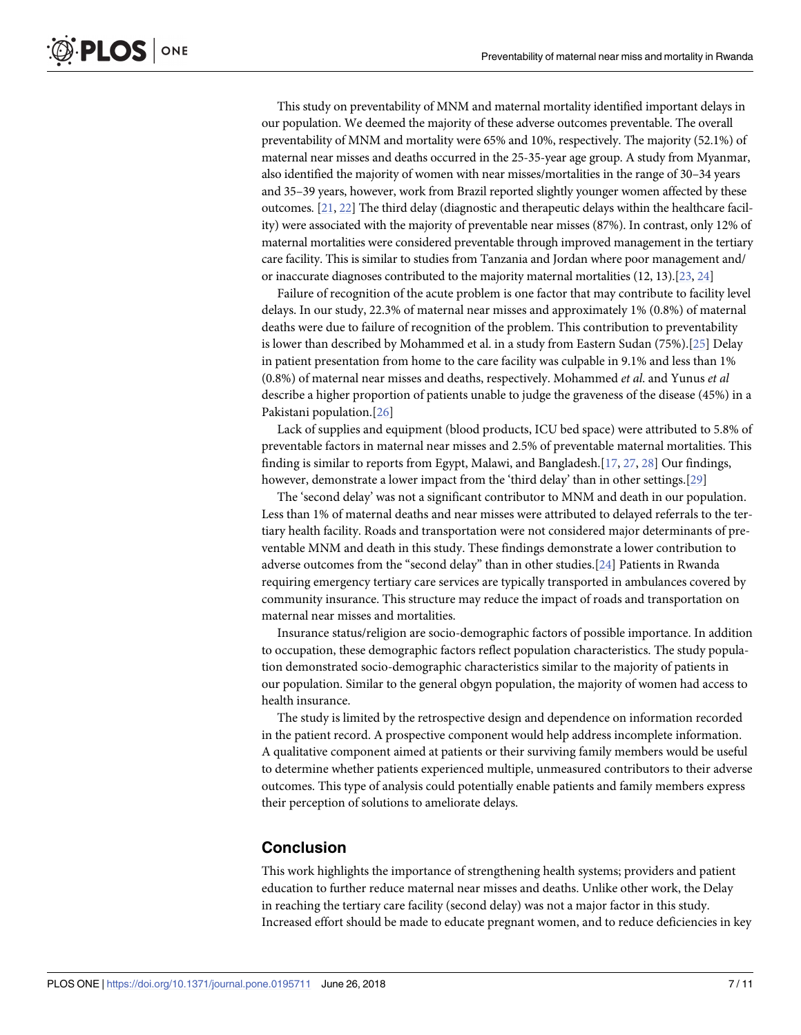<span id="page-6-0"></span>This study on preventability of MNM and maternal mortality identified important delays in our population. We deemed the majority of these adverse outcomes preventable. The overall preventability of MNM and mortality were 65% and 10%, respectively. The majority (52.1%) of maternal near misses and deaths occurred in the 25-35-year age group. A study from Myanmar, also identified the majority of women with near misses/mortalities in the range of 30–34 years and 35–39 years, however, work from Brazil reported slightly younger women affected by these outcomes. [[21](#page-9-0), [22\]](#page-9-0) The third delay (diagnostic and therapeutic delays within the healthcare facility) were associated with the majority of preventable near misses (87%). In contrast, only 12% of maternal mortalities were considered preventable through improved management in the tertiary care facility. This is similar to studies from Tanzania and Jordan where poor management and/ or inaccurate diagnoses contributed to the majority maternal mortalities (12, 13).[\[23,](#page-9-0) [24\]](#page-9-0)

Failure of recognition of the acute problem is one factor that may contribute to facility level delays. In our study, 22.3% of maternal near misses and approximately 1% (0.8%) of maternal deaths were due to failure of recognition of the problem. This contribution to preventability is lower than described by Mohammed et al. in a study from Eastern Sudan (75%).[\[25\]](#page-9-0) Delay in patient presentation from home to the care facility was culpable in 9.1% and less than 1% (0.8%) of maternal near misses and deaths, respectively. Mohammed *et al*. and Yunus *et al* describe a higher proportion of patients unable to judge the graveness of the disease (45%) in a Pakistani population.[\[26\]](#page-9-0)

Lack of supplies and equipment (blood products, ICU bed space) were attributed to 5.8% of preventable factors in maternal near misses and 2.5% of preventable maternal mortalities. This finding is similar to reports from Egypt, Malawi, and Bangladesh.[[17](#page-9-0), [27](#page-9-0), [28](#page-10-0)] Our findings, however, demonstrate a lower impact from the 'third delay' than in other settings.[[29](#page-10-0)]

The 'second delay' was not a significant contributor to MNM and death in our population. Less than 1% of maternal deaths and near misses were attributed to delayed referrals to the tertiary health facility. Roads and transportation were not considered major determinants of preventable MNM and death in this study. These findings demonstrate a lower contribution to adverse outcomes from the "second delay" than in other studies.[\[24\]](#page-9-0) Patients in Rwanda requiring emergency tertiary care services are typically transported in ambulances covered by community insurance. This structure may reduce the impact of roads and transportation on maternal near misses and mortalities.

Insurance status/religion are socio-demographic factors of possible importance. In addition to occupation, these demographic factors reflect population characteristics. The study population demonstrated socio-demographic characteristics similar to the majority of patients in our population. Similar to the general obgyn population, the majority of women had access to health insurance.

The study is limited by the retrospective design and dependence on information recorded in the patient record. A prospective component would help address incomplete information. A qualitative component aimed at patients or their surviving family members would be useful to determine whether patients experienced multiple, unmeasured contributors to their adverse outcomes. This type of analysis could potentially enable patients and family members express their perception of solutions to ameliorate delays.

### **Conclusion**

This work highlights the importance of strengthening health systems; providers and patient education to further reduce maternal near misses and deaths. Unlike other work, the Delay in reaching the tertiary care facility (second delay) was not a major factor in this study. Increased effort should be made to educate pregnant women, and to reduce deficiencies in key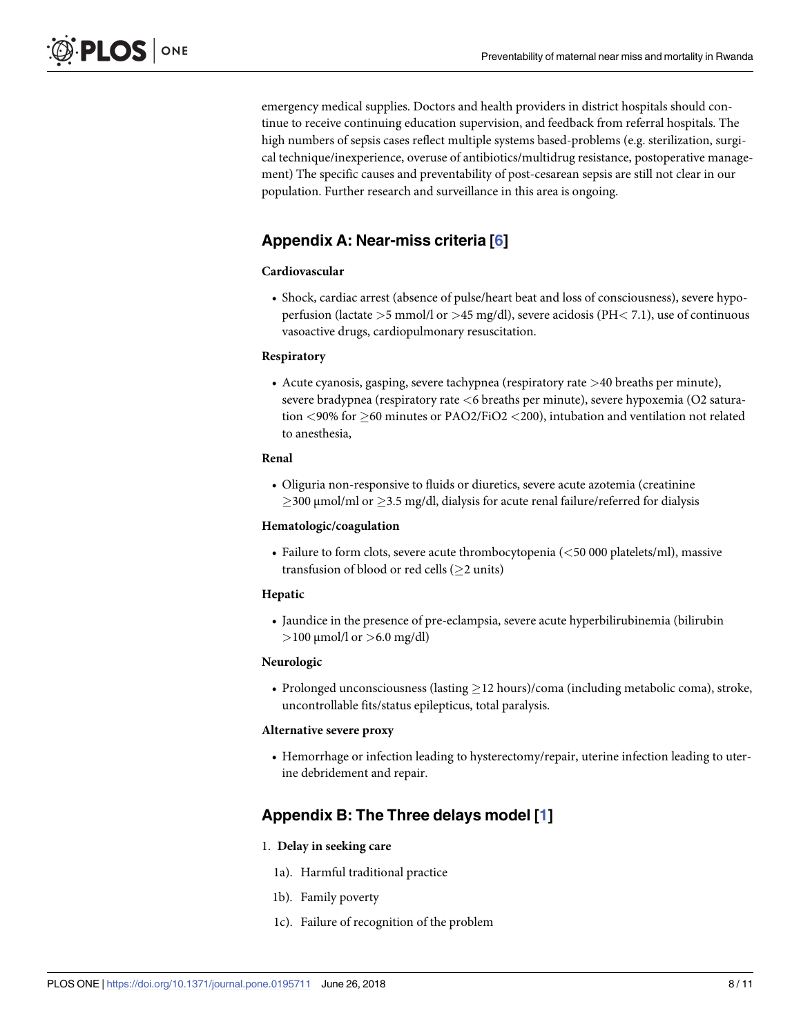<span id="page-7-0"></span>emergency medical supplies. Doctors and health providers in district hospitals should continue to receive continuing education supervision, and feedback from referral hospitals. The high numbers of sepsis cases reflect multiple systems based-problems (e.g. sterilization, surgical technique/inexperience, overuse of antibiotics/multidrug resistance, postoperative management) The specific causes and preventability of post-cesarean sepsis are still not clear in our population. Further research and surveillance in this area is ongoing.

### **Appendix A: Near-miss criteria [\[6\]](#page-9-0)**

#### **Cardiovascular**

• Shock, cardiac arrest (absence of pulse/heart beat and loss of consciousness), severe hypoperfusion (lactate *>*5 mmol/l or *>*45 mg/dl), severe acidosis (PH*<* 7.1), use of continuous vasoactive drugs, cardiopulmonary resuscitation.

#### **Respiratory**

• Acute cyanosis, gasping, severe tachypnea (respiratory rate *>*40 breaths per minute), severe bradypnea (respiratory rate *<*6 breaths per minute), severe hypoxemia (O2 saturation <90% for  $\geq$ 60 minutes or PAO2/FiO2 <200), intubation and ventilation not related to anesthesia,

#### **Renal**

• Oliguria non-responsive to fluids or diuretics, severe acute azotemia (creatinine  $\geq$ 300 µmol/ml or  $\geq$ 3.5 mg/dl, dialysis for acute renal failure/referred for dialysis

#### **Hematologic/coagulation**

• Failure to form clots, severe acute thrombocytopenia (*<*50 000 platelets/ml), massive transfusion of blood or red cells  $(>2$  units)

#### **Hepatic**

• Jaundice in the presence of pre-eclampsia, severe acute hyperbilirubinemia (bilirubin *>*100 μmol/l or *>*6.0 mg/dl)

#### **Neurologic**

• Prolonged unconsciousness (lasting  $\geq$  12 hours)/coma (including metabolic coma), stroke, uncontrollable fits/status epilepticus, total paralysis.

#### **Alternative severe proxy**

• Hemorrhage or infection leading to hysterectomy/repair, uterine infection leading to uterine debridement and repair.

### **Appendix B: The Three delays model [\[1](#page-8-0)]**

- 1. **Delay in seeking care**
	- 1a). Harmful traditional practice
	- 1b). Family poverty
	- 1c). Failure of recognition of the problem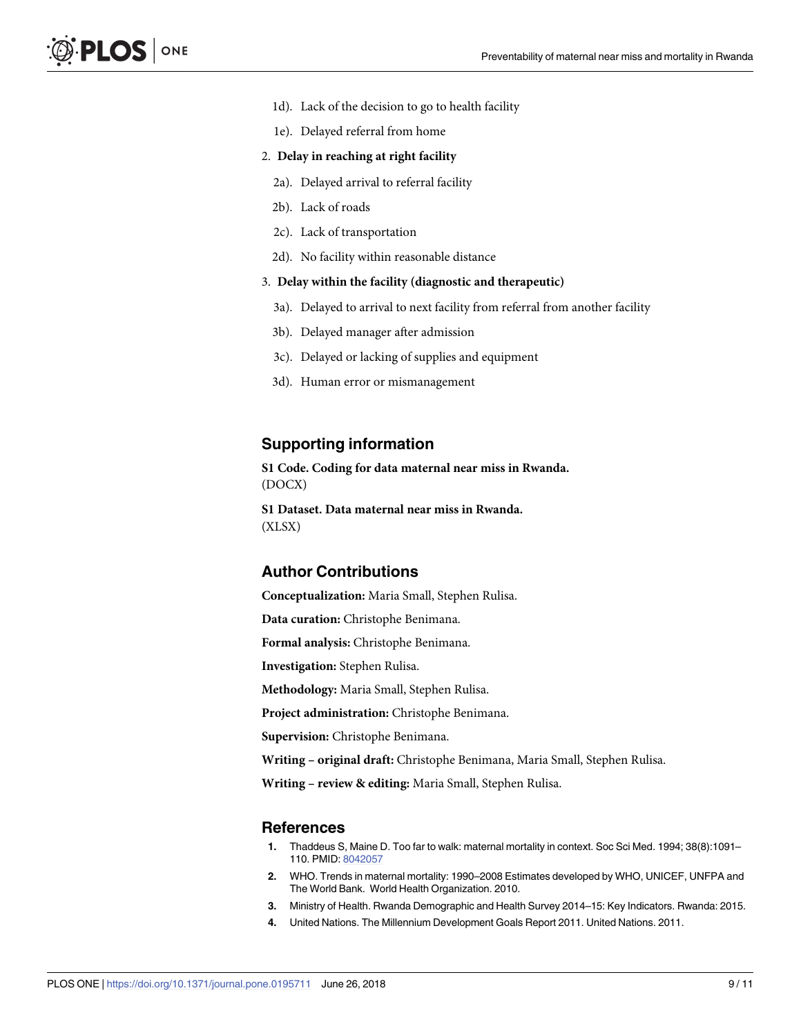- <span id="page-8-0"></span>1d). Lack of the decision to go to health facility
- 1e). Delayed referral from home

#### 2. **Delay in reaching at right facility**

- 2a). Delayed arrival to referral facility
- 2b). Lack of roads
- 2c). Lack of transportation
- 2d). No facility within reasonable distance

#### 3. **Delay within the facility (diagnostic and therapeutic)**

- 3a). Delayed to arrival to next facility from referral from another facility
- 3b). Delayed manager after admission
- 3c). Delayed or lacking of supplies and equipment
- 3d). Human error or mismanagement

### **Supporting information**

**S1 [Code.](http://www.plosone.org/article/fetchSingleRepresentation.action?uri=info:doi/10.1371/journal.pone.0195711.s001) Coding for data maternal near miss in Rwanda.** (DOCX)

**S1 [Dataset.](http://www.plosone.org/article/fetchSingleRepresentation.action?uri=info:doi/10.1371/journal.pone.0195711.s002) Data maternal near miss in Rwanda.** (XLSX)

### **Author Contributions**

**Conceptualization:** Maria Small, Stephen Rulisa.

**Data curation:** Christophe Benimana.

**Formal analysis:** Christophe Benimana.

**Investigation:** Stephen Rulisa.

**Methodology:** Maria Small, Stephen Rulisa.

**Project administration:** Christophe Benimana.

**Supervision:** Christophe Benimana.

**Writing – original draft:** Christophe Benimana, Maria Small, Stephen Rulisa.

**Writing – review & editing:** Maria Small, Stephen Rulisa.

#### **References**

- **[1](#page-0-0).** Thaddeus S, Maine D. Too far to walk: maternal mortality in context. Soc Sci Med. 1994; 38(8):1091– 110. PMID: [8042057](http://www.ncbi.nlm.nih.gov/pubmed/8042057)
- **[2](#page-1-0).** WHO. Trends in maternal mortality: 1990–2008 Estimates developed by WHO, UNICEF, UNFPA and The World Bank. World Health Organization. 2010.
- **[3](#page-1-0).** Ministry of Health. Rwanda Demographic and Health Survey 2014–15: Key Indicators. Rwanda: 2015.
- **[4](#page-1-0).** United Nations. The Millennium Development Goals Report 2011. United Nations. 2011.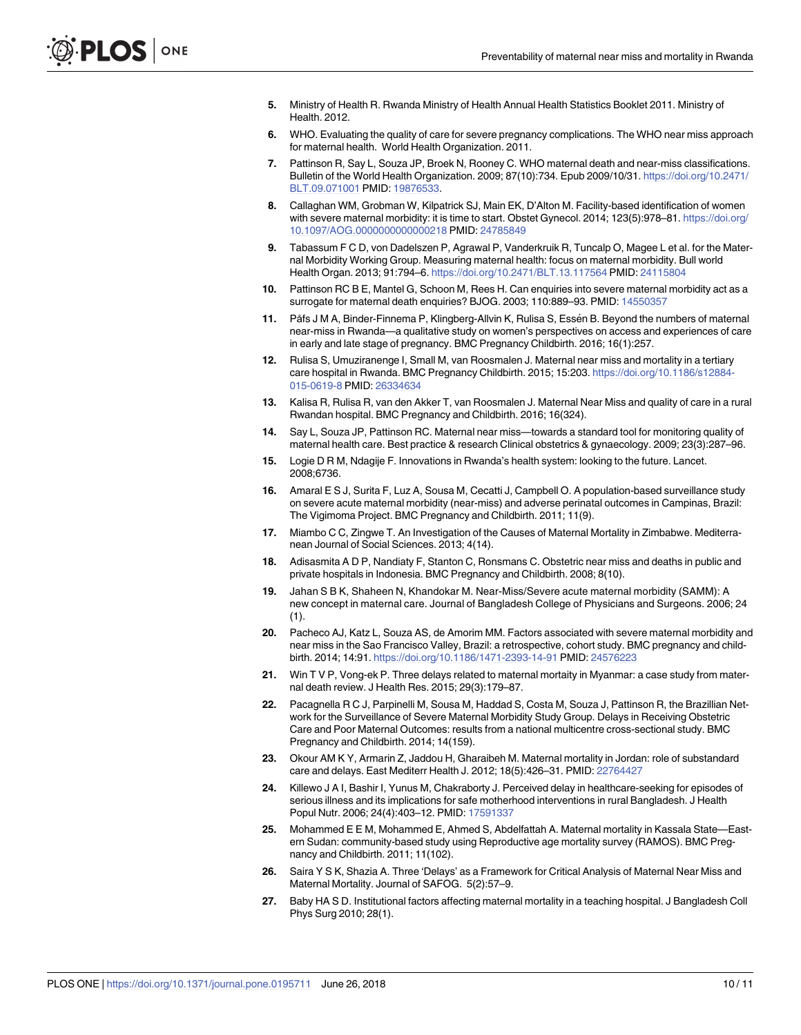- <span id="page-9-0"></span>**[5](#page-1-0).** Ministry of Health R. Rwanda Ministry of Health Annual Health Statistics Booklet 2011. Ministry of Health. 2012.
- **[6](#page-1-0).** WHO. Evaluating the quality of care for severe pregnancy complications. The WHO near miss approach for maternal health. World Health Organization. 2011.
- **[7](#page-1-0).** Pattinson R, Say L, Souza JP, Broek N, Rooney C. WHO maternal death and near-miss classifications. Bulletin of the World Health Organization. 2009; 87(10):734. Epub 2009/10/31. [https://doi.org/10.2471/](https://doi.org/10.2471/BLT.09.071001) [BLT.09.071001](https://doi.org/10.2471/BLT.09.071001) PMID: [19876533.](http://www.ncbi.nlm.nih.gov/pubmed/19876533)
- **[8](#page-1-0).** Callaghan WM, Grobman W, Kilpatrick SJ, Main EK, D'Alton M. Facility-based identification of women with severe maternal morbidity: it is time to start. Obstet Gynecol. 2014; 123(5):978–81. [https://doi.org/](https://doi.org/10.1097/AOG.0000000000000218) [10.1097/AOG.0000000000000218](https://doi.org/10.1097/AOG.0000000000000218) PMID: [24785849](http://www.ncbi.nlm.nih.gov/pubmed/24785849)
- **[9](#page-1-0).** Tabassum F C D, von Dadelszen P, Agrawal P, Vanderkruik R, Tuncalp O, Magee L et al. for the Maternal Morbidity Working Group. Measuring maternal health: focus on maternal morbidity. Bull world Health Organ. 2013; 91:794–6. <https://doi.org/10.2471/BLT.13.117564> PMID: [24115804](http://www.ncbi.nlm.nih.gov/pubmed/24115804)
- **[10](#page-1-0).** Pattinson RC B E, Mantel G, Schoon M, Rees H. Can enquiries into severe maternal morbidity act as a surrogate for maternal death enquiries? BJOG. 2003; 110:889–93. PMID: [14550357](http://www.ncbi.nlm.nih.gov/pubmed/14550357)
- **[11](#page-1-0).** Påfs J M A, Binder-Finnema P, Klingberg-Allvin K, Rulisa S, Essén B. Beyond the numbers of maternal near-miss in Rwanda—a qualitative study on women's perspectives on access and experiences of care in early and late stage of pregnancy. BMC Pregnancy Childbirth. 2016; 16(1):257.
- **[12](#page-1-0).** Rulisa S, Umuziranenge I, Small M, van Roosmalen J. Maternal near miss and mortality in a tertiary care hospital in Rwanda. BMC Pregnancy Childbirth. 2015; 15:203. [https://doi.org/10.1186/s12884-](https://doi.org/10.1186/s12884-015-0619-8) [015-0619-8](https://doi.org/10.1186/s12884-015-0619-8) PMID: [26334634](http://www.ncbi.nlm.nih.gov/pubmed/26334634)
- **[13](#page-1-0).** Kalisa R, Rulisa R, van den Akker T, van Roosmalen J. Maternal Near Miss and quality of care in a rural Rwandan hospital. BMC Pregnancy and Childbirth. 2016; 16(324).
- **[14](#page-2-0).** Say L, Souza JP, Pattinson RC. Maternal near miss—towards a standard tool for monitoring quality of maternal health care. Best practice & research Clinical obstetrics & gynaecology. 2009; 23(3):287–96.
- **[15](#page-3-0).** Logie D R M, Ndagije F. Innovations in Rwanda's health system: looking to the future. Lancet. 2008;6736.
- **[16](#page-5-0).** Amaral E S J, Surita F, Luz A, Sousa M, Cecatti J, Campbell O. A population-based surveillance study on severe acute maternal morbidity (near-miss) and adverse perinatal outcomes in Campinas, Brazil: The Vigimoma Project. BMC Pregnancy and Childbirth. 2011; 11(9).
- **[17](#page-6-0).** Miambo C C, Zingwe T. An Investigation of the Causes of Maternal Mortality in Zimbabwe. Mediterranean Journal of Social Sciences. 2013; 4(14).
- **18.** Adisasmita A D P, Nandiaty F, Stanton C, Ronsmans C. Obstetric near miss and deaths in public and private hospitals in Indonesia. BMC Pregnancy and Childbirth. 2008; 8(10).
- **[19](#page-5-0).** Jahan S B K, Shaheen N, Khandokar M. Near-Miss/Severe acute maternal morbidity (SAMM): A new concept in maternal care. Journal of Bangladesh College of Physicians and Surgeons. 2006; 24  $(1).$
- **[20](#page-5-0).** Pacheco AJ, Katz L, Souza AS, de Amorim MM. Factors associated with severe maternal morbidity and near miss in the Sao Francisco Valley, Brazil: a retrospective, cohort study. BMC pregnancy and childbirth. 2014; 14:91. <https://doi.org/10.1186/1471-2393-14-91> PMID: [24576223](http://www.ncbi.nlm.nih.gov/pubmed/24576223)
- **[21](#page-6-0).** Win T V P, Vong-ek P. Three delays related to maternal mortaity in Myanmar: a case study from maternal death review. J Health Res. 2015; 29(3):179–87.
- **[22](#page-6-0).** Pacagnella R C J, Parpinelli M, Sousa M, Haddad S, Costa M, Souza J, Pattinson R, the Brazillian Network for the Surveillance of Severe Maternal Morbidity Study Group. Delays in Receiving Obstetric Care and Poor Maternal Outcomes: results from a national multicentre cross-sectional study. BMC Pregnancy and Childbirth. 2014; 14(159).
- **[23](#page-6-0).** Okour AM K Y, Armarin Z, Jaddou H, Gharaibeh M. Maternal mortality in Jordan: role of substandard care and delays. East Mediterr Health J. 2012; 18(5):426–31. PMID: [22764427](http://www.ncbi.nlm.nih.gov/pubmed/22764427)
- **[24](#page-6-0).** Killewo J A I, Bashir I, Yunus M, Chakraborty J. Perceived delay in healthcare-seeking for episodes of serious illness and its implications for safe motherhood interventions in rural Bangladesh. J Health Popul Nutr. 2006; 24(4):403–12. PMID: [17591337](http://www.ncbi.nlm.nih.gov/pubmed/17591337)
- **[25](#page-6-0).** Mohammed E E M, Mohammed E, Ahmed S, Abdelfattah A. Maternal mortality in Kassala State—Eastern Sudan: community-based study using Reproductive age mortality survey (RAMOS). BMC Pregnancy and Childbirth. 2011; 11(102).
- **[26](#page-6-0).** Saira Y S K, Shazia A. Three 'Delays' as a Framework for Critical Analysis of Maternal Near Miss and Maternal Mortality. Journal of SAFOG. 5(2):57–9.
- **[27](#page-6-0).** Baby HA S D. Institutional factors affecting maternal mortality in a teaching hospital. J Bangladesh Coll Phys Surg 2010; 28(1).